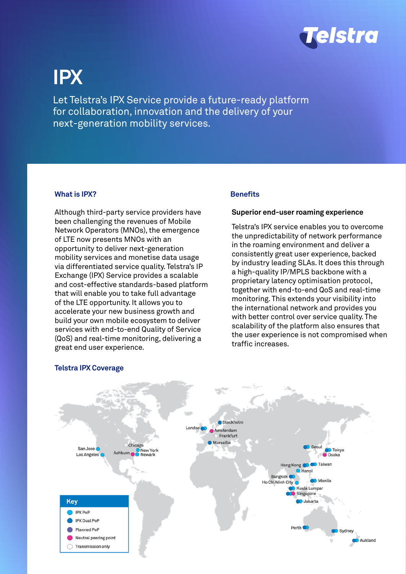

# **IPX**

Let Telstra's IPX Service provide a future-ready platform for collaboration, innovation and the delivery of your next-generation mobility services.

## **What is IPX?**

Although third-party service providers have been challenging the revenues of Mobile Network Operators (MNOs), the emergence of LTE now presents MNOs with an opportunity to deliver next-generation mobility services and monetise data usage via differentiated service quality. Telstra's IP Exchange (IPX) Service provides a scalable and cost-effective standards-based platform that will enable you to take full advantage of the LTE opportunity. It allows you to accelerate your new business growth and build your own mobile ecosystem to deliver services with end-to-end Quality of Service (QoS) and real-time monitoring, delivering a great end user experience.

## **Benefits**

### **Superior end-user roaming experience**

Telstra's IPX service enables you to overcome the unpredictability of network performance in the roaming environment and deliver a consistently great user experience, backed by industry leading SLAs. It does this through a high-quality IP/MPLS backbone with a proprietary latency optimisation protocol, together with end-to-end QoS and real-time monitoring. This extends your visibility into the international network and provides you with better control over service quality. The scalability of the platform also ensures that the user experience is not compromised when traffic increases.



## **Telstra IPX Coverage**